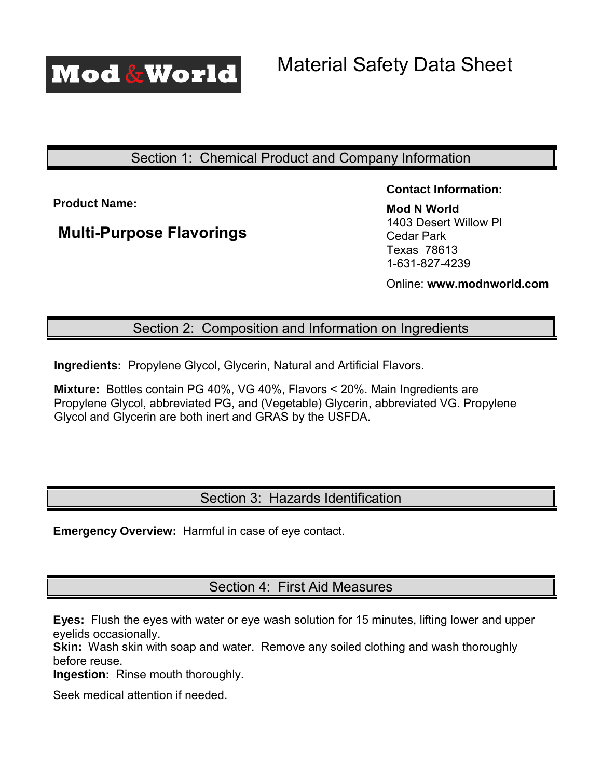

# Section 1: Chemical Product and Company Information

**Product Name:** 

# **Multi-Purpose Flavorings**

**Contact Information:** 

**Mod N World** 1403 Desert Willow Pl Cedar Park Texas 78613 1-[631-827-423](http://www.ecblend.com/)9

Online: **www.modnworld.com**

### Section 2: Composition and Information on Ingredients

**Ingredients:** Propylene Glycol, Glycerin, Natural and Artificial Flavors.

**Mixture:** Bottles contain PG 40%, VG 40%, Flavors < 20%. Main Ingredients are Propylene Glycol, abbreviated PG, and (Vegetable) Glycerin, abbreviated VG. Propylene Glycol and Glycerin are both inert and GRAS by the USFDA.

# Section 3: Hazards Identification

**Emergency Overview:** Harmful in case of eye contact.

Section 4: First Aid Measures

**Eyes:** Flush the eyes with water or eye wash solution for 15 minutes, lifting lower and upper eyelids occasionally.

**Skin:** Wash skin with soap and water. Remove any soiled clothing and wash thoroughly before reuse.

**Ingestion:** Rinse mouth thoroughly.

Seek medical attention if needed.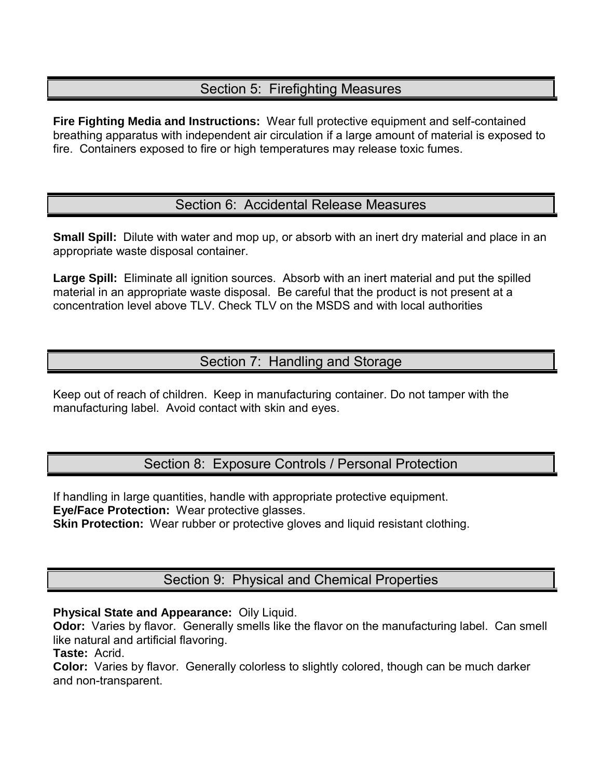### Section 5: Firefighting Measures

**Fire Fighting Media and Instructions:** Wear full protective equipment and self-contained breathing apparatus with independent air circulation if a large amount of material is exposed to fire. Containers exposed to fire or high temperatures may release toxic fumes.

### Section 6: Accidental Release Measures

**Small Spill:** Dilute with water and mop up, or absorb with an inert dry material and place in an appropriate waste disposal container.

**Large Spill:** Eliminate all ignition sources. Absorb with an inert material and put the spilled material in an appropriate waste disposal. Be careful that the product is not present at a concentration level above TLV. Check TLV on the MSDS and with local authorities

## Section 7: Handling and Storage

Keep out of reach of children. Keep in manufacturing container. Do not tamper with the manufacturing label. Avoid contact with skin and eyes.

Section 8: Exposure Controls / Personal Protection

If handling in large quantities, handle with appropriate protective equipment. **Eye/Face Protection:** Wear protective glasses.

**Skin Protection:** Wear rubber or protective gloves and liquid resistant clothing.

Section 9: Physical and Chemical Properties

#### **Physical State and Appearance: Oily Liquid.**

**Odor:** Varies by flavor. Generally smells like the flavor on the manufacturing label. Can smell like natural and artificial flavoring.

**Taste:** Acrid.

**Color:** Varies by flavor. Generally colorless to slightly colored, though can be much darker and non-transparent.